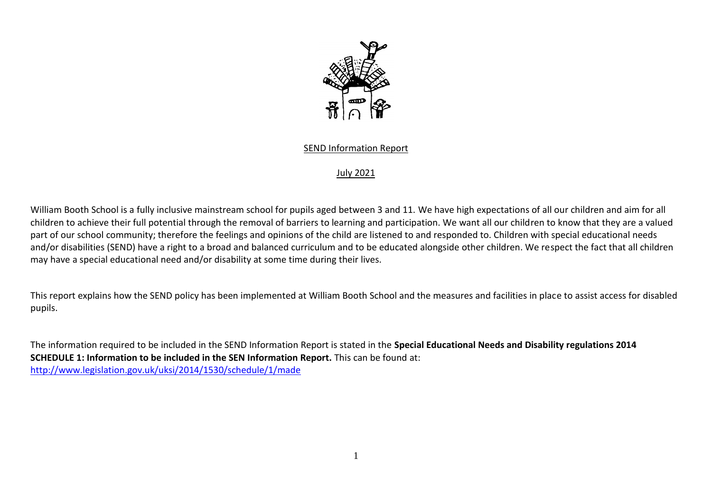

## SEND Information Report

## July 2021

William Booth School is a fully inclusive mainstream school for pupils aged between 3 and 11. We have high expectations of all our children and aim for all children to achieve their full potential through the removal of barriers to learning and participation. We want all our children to know that they are a valued part of our school community; therefore the feelings and opinions of the child are listened to and responded to. Children with special educational needs and/or disabilities (SEND) have a right to a broad and balanced curriculum and to be educated alongside other children. We respect the fact that all children may have a special educational need and/or disability at some time during their lives.

This report explains how the SEND policy has been implemented at William Booth School and the measures and facilities in place to assist access for disabled pupils.

The information required to be included in the SEND Information Report is stated in the **Special Educational Needs and Disability regulations 2014 SCHEDULE 1: Information to be included in the SEN Information Report.** This can be found at: <http://www.legislation.gov.uk/uksi/2014/1530/schedule/1/made>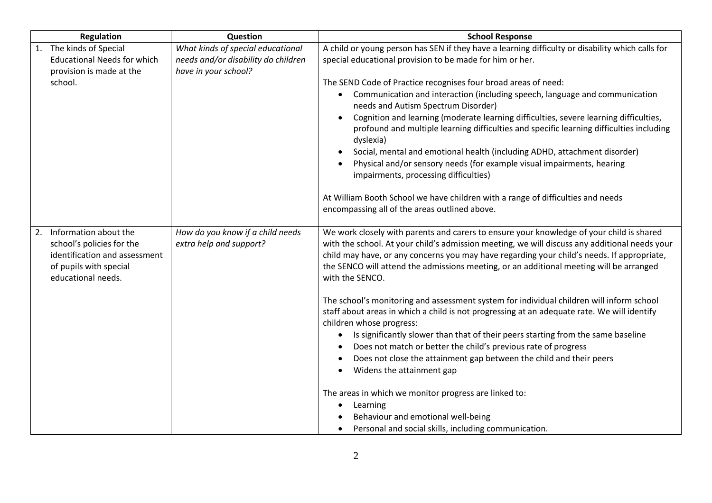| <b>Regulation</b>                                                                                                                      | Question                                                                                         | <b>School Response</b>                                                                                                                                                                                                                                                                                                                                                                                                                                                                                                                                                                                                                                                                                                                                                                                                                                                                                                                                                                                                                                    |
|----------------------------------------------------------------------------------------------------------------------------------------|--------------------------------------------------------------------------------------------------|-----------------------------------------------------------------------------------------------------------------------------------------------------------------------------------------------------------------------------------------------------------------------------------------------------------------------------------------------------------------------------------------------------------------------------------------------------------------------------------------------------------------------------------------------------------------------------------------------------------------------------------------------------------------------------------------------------------------------------------------------------------------------------------------------------------------------------------------------------------------------------------------------------------------------------------------------------------------------------------------------------------------------------------------------------------|
| 1. The kinds of Special<br><b>Educational Needs for which</b><br>provision is made at the<br>school.                                   | What kinds of special educational<br>needs and/or disability do children<br>have in your school? | A child or young person has SEN if they have a learning difficulty or disability which calls for<br>special educational provision to be made for him or her.<br>The SEND Code of Practice recognises four broad areas of need:<br>Communication and interaction (including speech, language and communication<br>$\bullet$<br>needs and Autism Spectrum Disorder)<br>Cognition and learning (moderate learning difficulties, severe learning difficulties,<br>profound and multiple learning difficulties and specific learning difficulties including<br>dyslexia)<br>Social, mental and emotional health (including ADHD, attachment disorder)<br>Physical and/or sensory needs (for example visual impairments, hearing<br>impairments, processing difficulties)<br>At William Booth School we have children with a range of difficulties and needs<br>encompassing all of the areas outlined above.                                                                                                                                                   |
| 2. Information about the<br>school's policies for the<br>identification and assessment<br>of pupils with special<br>educational needs. | How do you know if a child needs<br>extra help and support?                                      | We work closely with parents and carers to ensure your knowledge of your child is shared<br>with the school. At your child's admission meeting, we will discuss any additional needs your<br>child may have, or any concerns you may have regarding your child's needs. If appropriate,<br>the SENCO will attend the admissions meeting, or an additional meeting will be arranged<br>with the SENCO.<br>The school's monitoring and assessment system for individual children will inform school<br>staff about areas in which a child is not progressing at an adequate rate. We will identify<br>children whose progress:<br>Is significantly slower than that of their peers starting from the same baseline<br>Does not match or better the child's previous rate of progress<br>Does not close the attainment gap between the child and their peers<br>Widens the attainment gap<br>The areas in which we monitor progress are linked to:<br>Learning<br>Behaviour and emotional well-being<br>Personal and social skills, including communication. |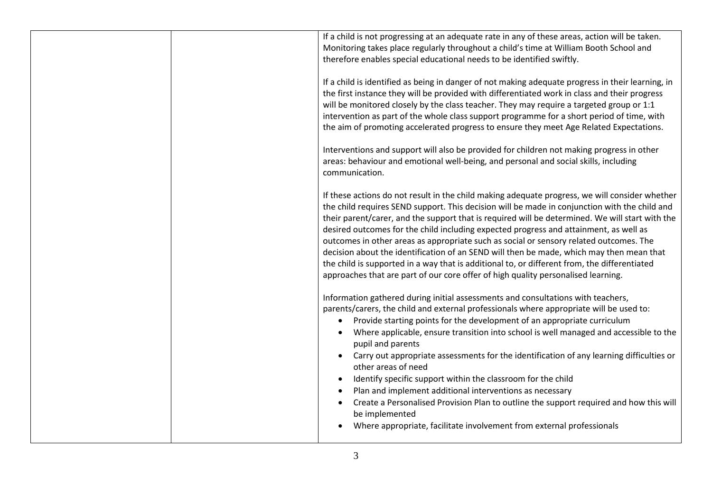| If a child is not progressing at an adequate rate in any of these areas, action will be taken.<br>Monitoring takes place regularly throughout a child's time at William Booth School and<br>therefore enables special educational needs to be identified swiftly.                                                                                                                                                                                                                                                                                                                                                                                                                                                                                                                                                      |
|------------------------------------------------------------------------------------------------------------------------------------------------------------------------------------------------------------------------------------------------------------------------------------------------------------------------------------------------------------------------------------------------------------------------------------------------------------------------------------------------------------------------------------------------------------------------------------------------------------------------------------------------------------------------------------------------------------------------------------------------------------------------------------------------------------------------|
| If a child is identified as being in danger of not making adequate progress in their learning, in<br>the first instance they will be provided with differentiated work in class and their progress<br>will be monitored closely by the class teacher. They may require a targeted group or 1:1<br>intervention as part of the whole class support programme for a short period of time, with<br>the aim of promoting accelerated progress to ensure they meet Age Related Expectations.                                                                                                                                                                                                                                                                                                                                |
| Interventions and support will also be provided for children not making progress in other<br>areas: behaviour and emotional well-being, and personal and social skills, including<br>communication.                                                                                                                                                                                                                                                                                                                                                                                                                                                                                                                                                                                                                    |
| If these actions do not result in the child making adequate progress, we will consider whether<br>the child requires SEND support. This decision will be made in conjunction with the child and<br>their parent/carer, and the support that is required will be determined. We will start with the<br>desired outcomes for the child including expected progress and attainment, as well as<br>outcomes in other areas as appropriate such as social or sensory related outcomes. The<br>decision about the identification of an SEND will then be made, which may then mean that<br>the child is supported in a way that is additional to, or different from, the differentiated<br>approaches that are part of our core offer of high quality personalised learning.                                                 |
| Information gathered during initial assessments and consultations with teachers,<br>parents/carers, the child and external professionals where appropriate will be used to:<br>Provide starting points for the development of an appropriate curriculum<br>$\bullet$<br>Where applicable, ensure transition into school is well managed and accessible to the<br>pupil and parents<br>Carry out appropriate assessments for the identification of any learning difficulties or<br>other areas of need<br>Identify specific support within the classroom for the child<br>Plan and implement additional interventions as necessary<br>Create a Personalised Provision Plan to outline the support required and how this will<br>be implemented<br>Where appropriate, facilitate involvement from external professionals |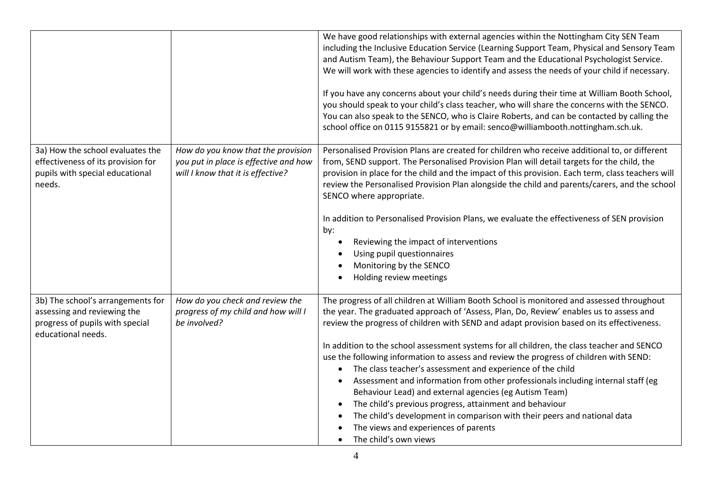|                                                                                                                           |                                                                                                                  | We have good relationships with external agencies within the Nottingham City SEN Team<br>including the Inclusive Education Service (Learning Support Team, Physical and Sensory Team<br>and Autism Team), the Behaviour Support Team and the Educational Psychologist Service.<br>We will work with these agencies to identify and assess the needs of your child if necessary.<br>If you have any concerns about your child's needs during their time at William Booth School,<br>you should speak to your child's class teacher, who will share the concerns with the SENCO.<br>You can also speak to the SENCO, who is Claire Roberts, and can be contacted by calling the<br>school office on 0115 9155821 or by email: senco@williambooth.nottingham.sch.uk.                                                                                                                                          |
|---------------------------------------------------------------------------------------------------------------------------|------------------------------------------------------------------------------------------------------------------|------------------------------------------------------------------------------------------------------------------------------------------------------------------------------------------------------------------------------------------------------------------------------------------------------------------------------------------------------------------------------------------------------------------------------------------------------------------------------------------------------------------------------------------------------------------------------------------------------------------------------------------------------------------------------------------------------------------------------------------------------------------------------------------------------------------------------------------------------------------------------------------------------------|
| 3a) How the school evaluates the<br>effectiveness of its provision for<br>pupils with special educational<br>needs.       | How do you know that the provision<br>you put in place is effective and how<br>will I know that it is effective? | Personalised Provision Plans are created for children who receive additional to, or different<br>from, SEND support. The Personalised Provision Plan will detail targets for the child, the<br>provision in place for the child and the impact of this provision. Each term, class teachers will<br>review the Personalised Provision Plan alongside the child and parents/carers, and the school<br>SENCO where appropriate.<br>In addition to Personalised Provision Plans, we evaluate the effectiveness of SEN provision<br>by:<br>Reviewing the impact of interventions<br>Using pupil questionnaires<br>Monitoring by the SENCO<br>Holding review meetings                                                                                                                                                                                                                                           |
| 3b) The school's arrangements for<br>assessing and reviewing the<br>progress of pupils with special<br>educational needs. | How do you check and review the<br>progress of my child and how will I<br>be involved?                           | The progress of all children at William Booth School is monitored and assessed throughout<br>the year. The graduated approach of 'Assess, Plan, Do, Review' enables us to assess and<br>review the progress of children with SEND and adapt provision based on its effectiveness.<br>In addition to the school assessment systems for all children, the class teacher and SENCO<br>use the following information to assess and review the progress of children with SEND:<br>The class teacher's assessment and experience of the child<br>Assessment and information from other professionals including internal staff (eg<br>Behaviour Lead) and external agencies (eg Autism Team)<br>The child's previous progress, attainment and behaviour<br>$\bullet$<br>The child's development in comparison with their peers and national data<br>The views and experiences of parents<br>The child's own views |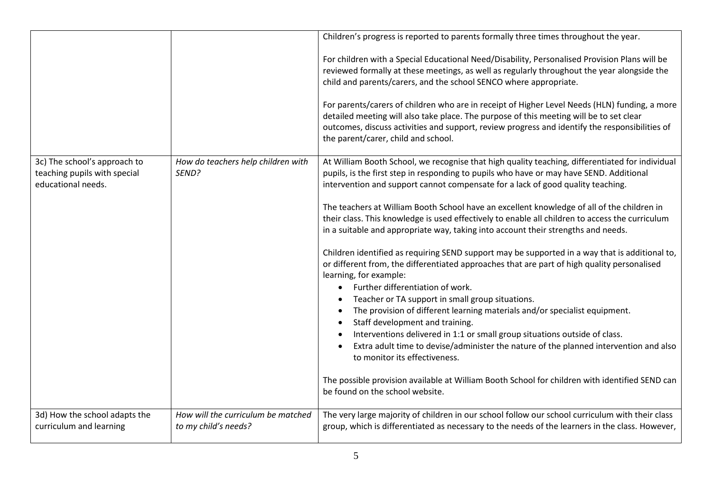|                                                                                    |                                             | Children's progress is reported to parents formally three times throughout the year.                                                                                                                                                                                                                                              |
|------------------------------------------------------------------------------------|---------------------------------------------|-----------------------------------------------------------------------------------------------------------------------------------------------------------------------------------------------------------------------------------------------------------------------------------------------------------------------------------|
|                                                                                    |                                             | For children with a Special Educational Need/Disability, Personalised Provision Plans will be<br>reviewed formally at these meetings, as well as regularly throughout the year alongside the<br>child and parents/carers, and the school SENCO where appropriate.                                                                 |
|                                                                                    |                                             | For parents/carers of children who are in receipt of Higher Level Needs (HLN) funding, a more<br>detailed meeting will also take place. The purpose of this meeting will be to set clear<br>outcomes, discuss activities and support, review progress and identify the responsibilities of<br>the parent/carer, child and school. |
| 3c) The school's approach to<br>teaching pupils with special<br>educational needs. | How do teachers help children with<br>SEND? | At William Booth School, we recognise that high quality teaching, differentiated for individual<br>pupils, is the first step in responding to pupils who have or may have SEND. Additional<br>intervention and support cannot compensate for a lack of good quality teaching.                                                     |
|                                                                                    |                                             | The teachers at William Booth School have an excellent knowledge of all of the children in<br>their class. This knowledge is used effectively to enable all children to access the curriculum<br>in a suitable and appropriate way, taking into account their strengths and needs.                                                |
|                                                                                    |                                             | Children identified as requiring SEND support may be supported in a way that is additional to,<br>or different from, the differentiated approaches that are part of high quality personalised<br>learning, for example:                                                                                                           |
|                                                                                    |                                             | Further differentiation of work.<br>$\bullet$                                                                                                                                                                                                                                                                                     |
|                                                                                    |                                             | Teacher or TA support in small group situations.<br>$\bullet$                                                                                                                                                                                                                                                                     |
|                                                                                    |                                             | The provision of different learning materials and/or specialist equipment.<br>Staff development and training.<br>$\bullet$                                                                                                                                                                                                        |
|                                                                                    |                                             | Interventions delivered in 1:1 or small group situations outside of class.<br>$\bullet$                                                                                                                                                                                                                                           |
|                                                                                    |                                             | Extra adult time to devise/administer the nature of the planned intervention and also<br>$\bullet$<br>to monitor its effectiveness.                                                                                                                                                                                               |
|                                                                                    |                                             | The possible provision available at William Booth School for children with identified SEND can<br>be found on the school website.                                                                                                                                                                                                 |
| 3d) How the school adapts the                                                      | How will the curriculum be matched          | The very large majority of children in our school follow our school curriculum with their class                                                                                                                                                                                                                                   |
| curriculum and learning                                                            | to my child's needs?                        | group, which is differentiated as necessary to the needs of the learners in the class. However,                                                                                                                                                                                                                                   |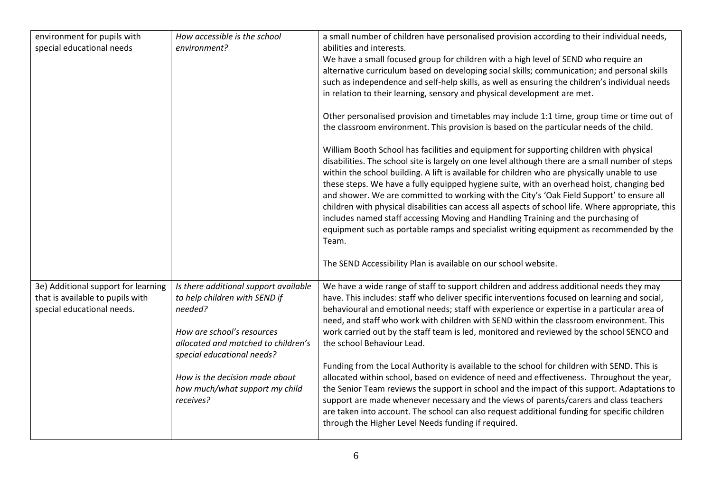| environment for pupils with         | How accessible is the school          | a small number of children have personalised provision according to their individual needs,        |
|-------------------------------------|---------------------------------------|----------------------------------------------------------------------------------------------------|
| special educational needs           | environment?                          | abilities and interests.                                                                           |
|                                     |                                       | We have a small focused group for children with a high level of SEND who require an                |
|                                     |                                       |                                                                                                    |
|                                     |                                       | alternative curriculum based on developing social skills; communication; and personal skills       |
|                                     |                                       | such as independence and self-help skills, as well as ensuring the children's individual needs     |
|                                     |                                       | in relation to their learning, sensory and physical development are met.                           |
|                                     |                                       | Other personalised provision and timetables may include 1:1 time, group time or time out of        |
|                                     |                                       | the classroom environment. This provision is based on the particular needs of the child.           |
|                                     |                                       | William Booth School has facilities and equipment for supporting children with physical            |
|                                     |                                       | disabilities. The school site is largely on one level although there are a small number of steps   |
|                                     |                                       | within the school building. A lift is available for children who are physically unable to use      |
|                                     |                                       | these steps. We have a fully equipped hygiene suite, with an overhead hoist, changing bed          |
|                                     |                                       | and shower. We are committed to working with the City's 'Oak Field Support' to ensure all          |
|                                     |                                       | children with physical disabilities can access all aspects of school life. Where appropriate, this |
|                                     |                                       | includes named staff accessing Moving and Handling Training and the purchasing of                  |
|                                     |                                       | equipment such as portable ramps and specialist writing equipment as recommended by the            |
|                                     |                                       | Team.                                                                                              |
|                                     |                                       | The SEND Accessibility Plan is available on our school website.                                    |
| 3e) Additional support for learning | Is there additional support available | We have a wide range of staff to support children and address additional needs they may            |
| that is available to pupils with    | to help children with SEND if         | have. This includes: staff who deliver specific interventions focused on learning and social,      |
| special educational needs.          | needed?                               | behavioural and emotional needs; staff with experience or expertise in a particular area of        |
|                                     |                                       | need, and staff who work with children with SEND within the classroom environment. This            |
|                                     | How are school's resources            | work carried out by the staff team is led, monitored and reviewed by the school SENCO and          |
|                                     | allocated and matched to children's   | the school Behaviour Lead.                                                                         |
|                                     | special educational needs?            |                                                                                                    |
|                                     |                                       | Funding from the Local Authority is available to the school for children with SEND. This is        |
|                                     | How is the decision made about        | allocated within school, based on evidence of need and effectiveness. Throughout the year,         |
|                                     | how much/what support my child        | the Senior Team reviews the support in school and the impact of this support. Adaptations to       |
|                                     | receives?                             | support are made whenever necessary and the views of parents/carers and class teachers             |
|                                     |                                       | are taken into account. The school can also request additional funding for specific children       |
|                                     |                                       | through the Higher Level Needs funding if required.                                                |
|                                     |                                       |                                                                                                    |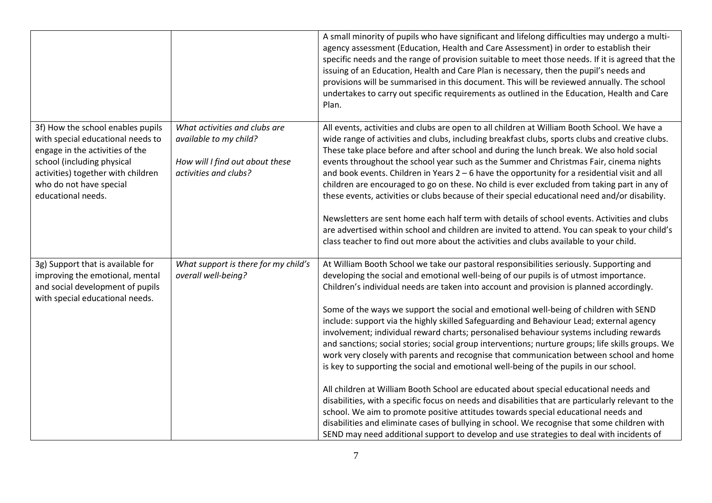|                                                                                                                                                                                                                                |                                                                                                                     | A small minority of pupils who have significant and lifelong difficulties may undergo a multi-<br>agency assessment (Education, Health and Care Assessment) in order to establish their<br>specific needs and the range of provision suitable to meet those needs. If it is agreed that the<br>issuing of an Education, Health and Care Plan is necessary, then the pupil's needs and<br>provisions will be summarised in this document. This will be reviewed annually. The school<br>undertakes to carry out specific requirements as outlined in the Education, Health and Care<br>Plan.                                                                                                                                                                                                                                                                                                                                                                                                                                                                                                                                                                                                                                                                                                                                             |
|--------------------------------------------------------------------------------------------------------------------------------------------------------------------------------------------------------------------------------|---------------------------------------------------------------------------------------------------------------------|-----------------------------------------------------------------------------------------------------------------------------------------------------------------------------------------------------------------------------------------------------------------------------------------------------------------------------------------------------------------------------------------------------------------------------------------------------------------------------------------------------------------------------------------------------------------------------------------------------------------------------------------------------------------------------------------------------------------------------------------------------------------------------------------------------------------------------------------------------------------------------------------------------------------------------------------------------------------------------------------------------------------------------------------------------------------------------------------------------------------------------------------------------------------------------------------------------------------------------------------------------------------------------------------------------------------------------------------|
| 3f) How the school enables pupils<br>with special educational needs to<br>engage in the activities of the<br>school (including physical<br>activities) together with children<br>who do not have special<br>educational needs. | What activities and clubs are<br>available to my child?<br>How will I find out about these<br>activities and clubs? | All events, activities and clubs are open to all children at William Booth School. We have a<br>wide range of activities and clubs, including breakfast clubs, sports clubs and creative clubs.<br>These take place before and after school and during the lunch break. We also hold social<br>events throughout the school year such as the Summer and Christmas Fair, cinema nights<br>and book events. Children in Years $2 - 6$ have the opportunity for a residential visit and all<br>children are encouraged to go on these. No child is ever excluded from taking part in any of<br>these events, activities or clubs because of their special educational need and/or disability.<br>Newsletters are sent home each half term with details of school events. Activities and clubs<br>are advertised within school and children are invited to attend. You can speak to your child's<br>class teacher to find out more about the activities and clubs available to your child.                                                                                                                                                                                                                                                                                                                                                  |
| 3g) Support that is available for<br>improving the emotional, mental<br>and social development of pupils<br>with special educational needs.                                                                                    | What support is there for my child's<br>overall well-being?                                                         | At William Booth School we take our pastoral responsibilities seriously. Supporting and<br>developing the social and emotional well-being of our pupils is of utmost importance.<br>Children's individual needs are taken into account and provision is planned accordingly.<br>Some of the ways we support the social and emotional well-being of children with SEND<br>include: support via the highly skilled Safeguarding and Behaviour Lead; external agency<br>involvement; individual reward charts; personalised behaviour systems including rewards<br>and sanctions; social stories; social group interventions; nurture groups; life skills groups. We<br>work very closely with parents and recognise that communication between school and home<br>is key to supporting the social and emotional well-being of the pupils in our school.<br>All children at William Booth School are educated about special educational needs and<br>disabilities, with a specific focus on needs and disabilities that are particularly relevant to the<br>school. We aim to promote positive attitudes towards special educational needs and<br>disabilities and eliminate cases of bullying in school. We recognise that some children with<br>SEND may need additional support to develop and use strategies to deal with incidents of |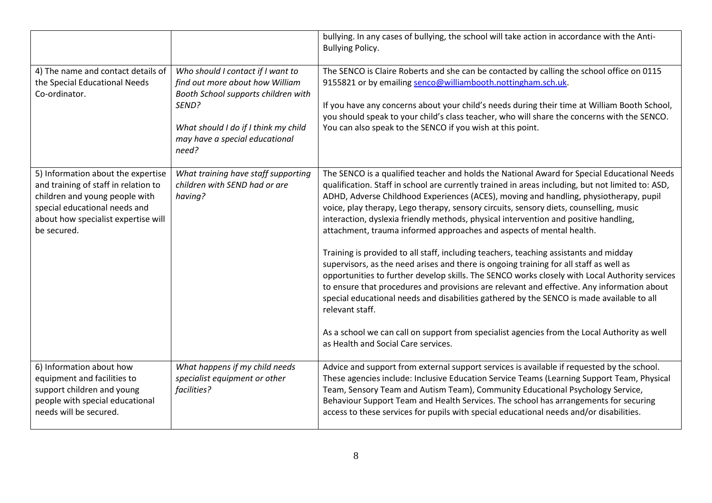|                                                                                                                                                                                                     |                                                                                                                                                                                                         | bullying. In any cases of bullying, the school will take action in accordance with the Anti-<br><b>Bullying Policy.</b>                                                                                                                                                                                                                                                                                                                                                                                                                                                                                                                                                                                                                                                                                                                                                                                                                                                                                                                                                                                                                                                                       |
|-----------------------------------------------------------------------------------------------------------------------------------------------------------------------------------------------------|---------------------------------------------------------------------------------------------------------------------------------------------------------------------------------------------------------|-----------------------------------------------------------------------------------------------------------------------------------------------------------------------------------------------------------------------------------------------------------------------------------------------------------------------------------------------------------------------------------------------------------------------------------------------------------------------------------------------------------------------------------------------------------------------------------------------------------------------------------------------------------------------------------------------------------------------------------------------------------------------------------------------------------------------------------------------------------------------------------------------------------------------------------------------------------------------------------------------------------------------------------------------------------------------------------------------------------------------------------------------------------------------------------------------|
| 4) The name and contact details of<br>the Special Educational Needs<br>Co-ordinator.                                                                                                                | Who should I contact if I want to<br>find out more about how William<br>Booth School supports children with<br>SEND?<br>What should I do if I think my child<br>may have a special educational<br>need? | The SENCO is Claire Roberts and she can be contacted by calling the school office on 0115<br>9155821 or by emailing senco@williambooth.nottingham.sch.uk.<br>If you have any concerns about your child's needs during their time at William Booth School,<br>you should speak to your child's class teacher, who will share the concerns with the SENCO.<br>You can also speak to the SENCO if you wish at this point.                                                                                                                                                                                                                                                                                                                                                                                                                                                                                                                                                                                                                                                                                                                                                                        |
| 5) Information about the expertise<br>and training of staff in relation to<br>children and young people with<br>special educational needs and<br>about how specialist expertise will<br>be secured. | What training have staff supporting<br>children with SEND had or are<br>having?                                                                                                                         | The SENCO is a qualified teacher and holds the National Award for Special Educational Needs<br>qualification. Staff in school are currently trained in areas including, but not limited to: ASD,<br>ADHD, Adverse Childhood Experiences (ACES), moving and handling, physiotherapy, pupil<br>voice, play therapy, Lego therapy, sensory circuits, sensory diets, counselling, music<br>interaction, dyslexia friendly methods, physical intervention and positive handling,<br>attachment, trauma informed approaches and aspects of mental health.<br>Training is provided to all staff, including teachers, teaching assistants and midday<br>supervisors, as the need arises and there is ongoing training for all staff as well as<br>opportunities to further develop skills. The SENCO works closely with Local Authority services<br>to ensure that procedures and provisions are relevant and effective. Any information about<br>special educational needs and disabilities gathered by the SENCO is made available to all<br>relevant staff.<br>As a school we can call on support from specialist agencies from the Local Authority as well<br>as Health and Social Care services. |
| 6) Information about how<br>equipment and facilities to<br>support children and young<br>people with special educational<br>needs will be secured.                                                  | What happens if my child needs<br>specialist equipment or other<br>facilities?                                                                                                                          | Advice and support from external support services is available if requested by the school.<br>These agencies include: Inclusive Education Service Teams (Learning Support Team, Physical<br>Team, Sensory Team and Autism Team), Community Educational Psychology Service,<br>Behaviour Support Team and Health Services. The school has arrangements for securing<br>access to these services for pupils with special educational needs and/or disabilities.                                                                                                                                                                                                                                                                                                                                                                                                                                                                                                                                                                                                                                                                                                                                 |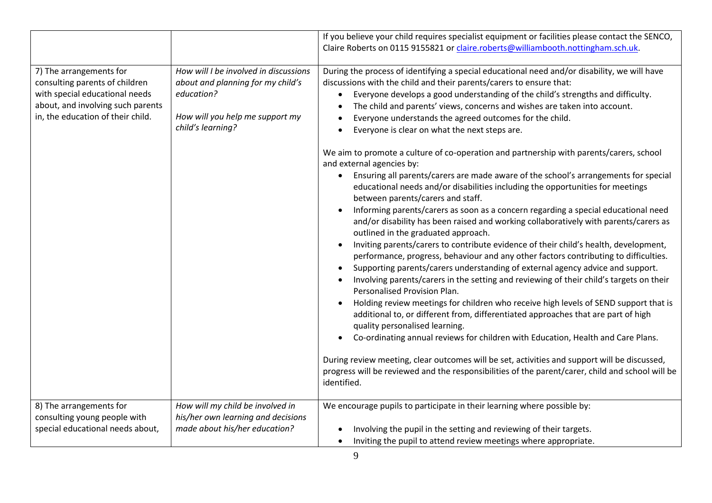|                                                                                                                                                                       |                                                                                                                                                  | If you believe your child requires specialist equipment or facilities please contact the SENCO,<br>Claire Roberts on 0115 9155821 or claire.roberts@williambooth.nottingham.sch.uk.                                                                                                                                                                                                                                                                                                                                                                                                                                                                                                                                                                                                                                                                                                                                                                                                                                                                                                                                                                                                                                                                                                                                                                                                                                                                                                                                                                                                                                                                                                                                                                                                                                                                                                                                                                     |
|-----------------------------------------------------------------------------------------------------------------------------------------------------------------------|--------------------------------------------------------------------------------------------------------------------------------------------------|---------------------------------------------------------------------------------------------------------------------------------------------------------------------------------------------------------------------------------------------------------------------------------------------------------------------------------------------------------------------------------------------------------------------------------------------------------------------------------------------------------------------------------------------------------------------------------------------------------------------------------------------------------------------------------------------------------------------------------------------------------------------------------------------------------------------------------------------------------------------------------------------------------------------------------------------------------------------------------------------------------------------------------------------------------------------------------------------------------------------------------------------------------------------------------------------------------------------------------------------------------------------------------------------------------------------------------------------------------------------------------------------------------------------------------------------------------------------------------------------------------------------------------------------------------------------------------------------------------------------------------------------------------------------------------------------------------------------------------------------------------------------------------------------------------------------------------------------------------------------------------------------------------------------------------------------------------|
| 7) The arrangements for<br>consulting parents of children<br>with special educational needs<br>about, and involving such parents<br>in, the education of their child. | How will I be involved in discussions<br>about and planning for my child's<br>education?<br>How will you help me support my<br>child's learning? | During the process of identifying a special educational need and/or disability, we will have<br>discussions with the child and their parents/carers to ensure that:<br>Everyone develops a good understanding of the child's strengths and difficulty.<br>The child and parents' views, concerns and wishes are taken into account.<br>Everyone understands the agreed outcomes for the child.<br>Everyone is clear on what the next steps are.<br>We aim to promote a culture of co-operation and partnership with parents/carers, school<br>and external agencies by:<br>Ensuring all parents/carers are made aware of the school's arrangements for special<br>educational needs and/or disabilities including the opportunities for meetings<br>between parents/carers and staff.<br>Informing parents/carers as soon as a concern regarding a special educational need<br>$\bullet$<br>and/or disability has been raised and working collaboratively with parents/carers as<br>outlined in the graduated approach.<br>Inviting parents/carers to contribute evidence of their child's health, development,<br>$\bullet$<br>performance, progress, behaviour and any other factors contributing to difficulties.<br>Supporting parents/carers understanding of external agency advice and support.<br>Involving parents/carers in the setting and reviewing of their child's targets on their<br>Personalised Provision Plan.<br>Holding review meetings for children who receive high levels of SEND support that is<br>additional to, or different from, differentiated approaches that are part of high<br>quality personalised learning.<br>Co-ordinating annual reviews for children with Education, Health and Care Plans.<br>During review meeting, clear outcomes will be set, activities and support will be discussed,<br>progress will be reviewed and the responsibilities of the parent/carer, child and school will be<br>identified. |
| 8) The arrangements for<br>consulting young people with<br>special educational needs about,                                                                           | How will my child be involved in<br>his/her own learning and decisions<br>made about his/her education?                                          | We encourage pupils to participate in their learning where possible by:<br>Involving the pupil in the setting and reviewing of their targets.<br>Inviting the pupil to attend review meetings where appropriate.<br>$\bullet$                                                                                                                                                                                                                                                                                                                                                                                                                                                                                                                                                                                                                                                                                                                                                                                                                                                                                                                                                                                                                                                                                                                                                                                                                                                                                                                                                                                                                                                                                                                                                                                                                                                                                                                           |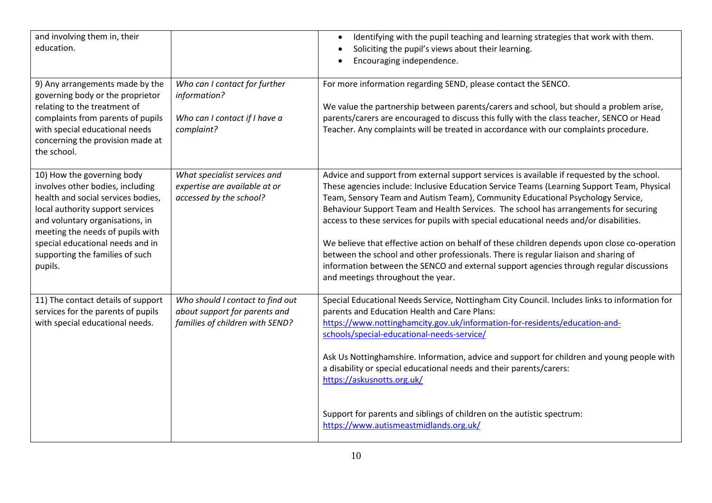| and involving them in, their<br>education.                                                                                                                                                                                                                                                        |                                                                                                      | Identifying with the pupil teaching and learning strategies that work with them.<br>$\bullet$<br>Soliciting the pupil's views about their learning.<br>$\bullet$<br>Encouraging independence.<br>$\bullet$                                                                                                                                                                                                                                                                                                                                                                                                                                                                                                                                                                           |
|---------------------------------------------------------------------------------------------------------------------------------------------------------------------------------------------------------------------------------------------------------------------------------------------------|------------------------------------------------------------------------------------------------------|--------------------------------------------------------------------------------------------------------------------------------------------------------------------------------------------------------------------------------------------------------------------------------------------------------------------------------------------------------------------------------------------------------------------------------------------------------------------------------------------------------------------------------------------------------------------------------------------------------------------------------------------------------------------------------------------------------------------------------------------------------------------------------------|
| 9) Any arrangements made by the<br>governing body or the proprietor<br>relating to the treatment of<br>complaints from parents of pupils<br>with special educational needs<br>concerning the provision made at<br>the school.                                                                     | Who can I contact for further<br>information?<br>Who can I contact if I have a<br>complaint?         | For more information regarding SEND, please contact the SENCO.<br>We value the partnership between parents/carers and school, but should a problem arise,<br>parents/carers are encouraged to discuss this fully with the class teacher, SENCO or Head<br>Teacher. Any complaints will be treated in accordance with our complaints procedure.                                                                                                                                                                                                                                                                                                                                                                                                                                       |
| 10) How the governing body<br>involves other bodies, including<br>health and social services bodies,<br>local authority support services<br>and voluntary organisations, in<br>meeting the needs of pupils with<br>special educational needs and in<br>supporting the families of such<br>pupils. | What specialist services and<br>expertise are available at or<br>accessed by the school?             | Advice and support from external support services is available if requested by the school.<br>These agencies include: Inclusive Education Service Teams (Learning Support Team, Physical<br>Team, Sensory Team and Autism Team), Community Educational Psychology Service,<br>Behaviour Support Team and Health Services. The school has arrangements for securing<br>access to these services for pupils with special educational needs and/or disabilities.<br>We believe that effective action on behalf of these children depends upon close co-operation<br>between the school and other professionals. There is regular liaison and sharing of<br>information between the SENCO and external support agencies through regular discussions<br>and meetings throughout the year. |
| 11) The contact details of support<br>services for the parents of pupils<br>with special educational needs.                                                                                                                                                                                       | Who should I contact to find out<br>about support for parents and<br>families of children with SEND? | Special Educational Needs Service, Nottingham City Council. Includes links to information for<br>parents and Education Health and Care Plans:<br>https://www.nottinghamcity.gov.uk/information-for-residents/education-and-<br>schools/special-educational-needs-service/<br>Ask Us Nottinghamshire. Information, advice and support for children and young people with<br>a disability or special educational needs and their parents/carers:<br>https://askusnotts.org.uk/<br>Support for parents and siblings of children on the autistic spectrum:                                                                                                                                                                                                                               |
|                                                                                                                                                                                                                                                                                                   |                                                                                                      | https://www.autismeastmidlands.org.uk/                                                                                                                                                                                                                                                                                                                                                                                                                                                                                                                                                                                                                                                                                                                                               |